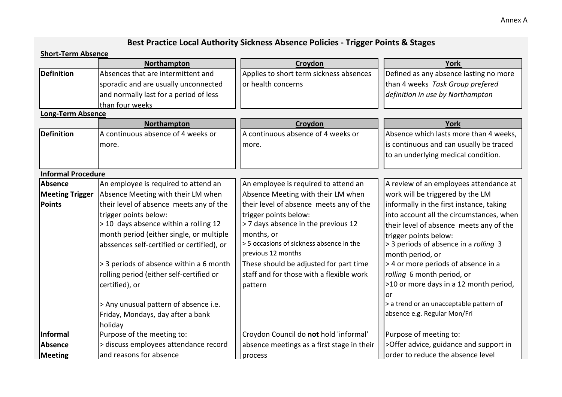## Annex A

## **Best Practice Local Authority Sickness Absence Policies - Trigger Points & Stages**

## **Short-Term Absence**

|                           | Northampton                                | Croydon                                    | <b>York</b>                              |
|---------------------------|--------------------------------------------|--------------------------------------------|------------------------------------------|
| <b>Definition</b>         | Absences that are intermittent and         | Applies to short term sickness absences    | Defined as any absence lasting no more   |
|                           | sporadic and are usually unconnected       | or health concerns                         | than 4 weeks Task Group prefered         |
|                           | and normally last for a period of less     |                                            | definition in use by Northampton         |
|                           | than four weeks                            |                                            |                                          |
| <b>Long-Term Absence</b>  |                                            |                                            |                                          |
|                           | Northampton                                | Croydon                                    | <b>York</b>                              |
| <b>Definition</b>         | A continuous absence of 4 weeks or         | A continuous absence of 4 weeks or         | Absence which lasts more than 4 weeks,   |
|                           | more.                                      | more.                                      | is continuous and can usually be traced  |
|                           |                                            |                                            | to an underlying medical condition.      |
| <b>Informal Procedure</b> |                                            |                                            |                                          |
| Absence                   | An employee is required to attend an       | An employee is required to attend an       | A review of an employees attendance at   |
| <b>Meeting Trigger</b>    | Absence Meeting with their LM when         | Absence Meeting with their LM when         | work will be triggered by the LM         |
| <b>Points</b>             | their level of absence meets any of the    | their level of absence meets any of the    | informally in the first instance, taking |
|                           | trigger points below:                      | trigger points below:                      | into account all the circumstances, when |
|                           | > 10 days absence within a rolling 12      | >7 days absence in the previous 12         | their level of absence meets any of the  |
|                           | month period (either single, or multiple   | months, or                                 | trigger points below:                    |
|                           | abssences self-certified or certified), or | > 5 occasions of sickness absence in the   | > 3 periods of absence in a rolling 3    |
|                           |                                            | previous 12 months                         | month period, or                         |
|                           | > 3 periods of absence within a 6 month    | These should be adjusted for part time     | > 4 or more periods of absence in a      |
|                           | rolling period (either self-certified or   | staff and for those with a flexible work   | rolling 6 month period, or               |
|                           | certified), or                             | pattern                                    | >10 or more days in a 12 month period,   |
|                           |                                            |                                            | or                                       |
|                           | > Any unusual pattern of absence i.e.      |                                            | > a trend or an unacceptable pattern of  |
|                           | Friday, Mondays, day after a bank          |                                            | absence e.g. Regular Mon/Fri             |
|                           | holiday                                    |                                            |                                          |
| Informal                  | Purpose of the meeting to:                 | Croydon Council do not hold 'informal'     | Purpose of meeting to:                   |
| Absence                   | > discuss employees attendance record      | absence meetings as a first stage in their | >Offer advice, guidance and support in   |
| Meeting                   | and reasons for absence                    | process                                    | order to reduce the absence level        |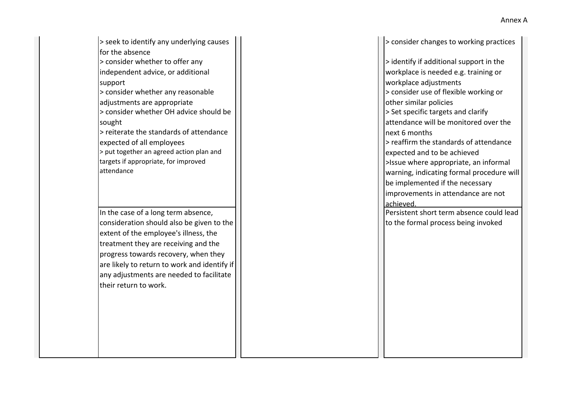> seek to identify any underlying causes for the absence > consider whether to offer any independent advice, or additional support > consider whether any reasonable adjustments are appropriate

> consider whether OH advice should be sought

 $\vert$  > reiterate the standards of attendance  $\vert \vert$   $\vert$  and  $\vert$  are  $\vert$  and  $\vert$  are  $\vert$  are  $\vert$  are  $\vert$  are  $\vert$  are  $\vert$  are  $\vert$  are  $\vert$  are  $\vert$  are  $\vert$  are  $\vert$  are  $\vert$  are  $\vert$  are  $\vert$  are  $\vert$  are  $\vert$  ar |> put together an agreed action plan and  $\|$  |  $\|$  |  $\|$  |  $\|$  |  $\|$  |  $\|$  |  $\|$  |  $\|$  |  $\|$  |  $\|$  |  $\|$  |  $\|$  |  $\|$  |  $\|$  |  $\|$  |  $\|$  |  $\|$  |  $\|$  |  $\|$  |  $\|$  |  $\|$  |  $\|$  |  $\|$  |  $\|$  |  $\|$  |  $\|$ targets if appropriate, for improved attendance

In the case of a long term absence, consideration should also be given to the extent of the employee's illness, the treatment they are receiving and the progress towards recovery, when they are likely to return to work and identify if any adjustments are needed to facilitate their return to work.

> consider changes to working practices

> identify if additional support in the workplace is needed e.g. training or workplace adjustments > consider use of flexible working or other similar policies >Issue where appropriate, an informal warning, indicating formal procedure will be implemented if the necessary improvements in attendance are not achieved. > Set specific targets and clarify attendance will be monitored over the expected of all employees > reaffirm the standards of attendance

Persistent short term absence could lead to the formal process being invoked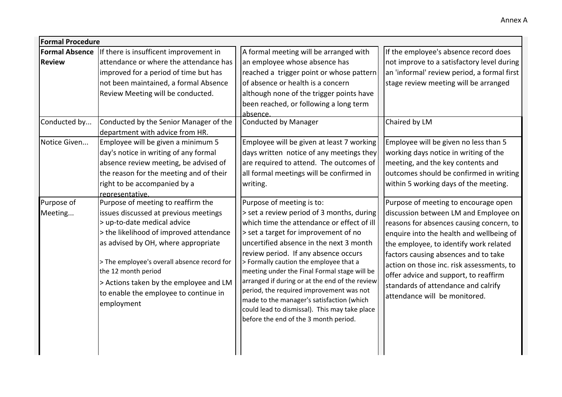| <b>Formal Procedure</b> |                                                                                                                                                                                                                                                                                                                                                                     |                                                                                                                                                                                                                                                                                                                                                                                                                                                                                                                                                                                |                                                                                                                                                                                                                                                                                                                                                                                                                       |
|-------------------------|---------------------------------------------------------------------------------------------------------------------------------------------------------------------------------------------------------------------------------------------------------------------------------------------------------------------------------------------------------------------|--------------------------------------------------------------------------------------------------------------------------------------------------------------------------------------------------------------------------------------------------------------------------------------------------------------------------------------------------------------------------------------------------------------------------------------------------------------------------------------------------------------------------------------------------------------------------------|-----------------------------------------------------------------------------------------------------------------------------------------------------------------------------------------------------------------------------------------------------------------------------------------------------------------------------------------------------------------------------------------------------------------------|
| <b>Formal Absence</b>   | If there is insufficent improvement in                                                                                                                                                                                                                                                                                                                              | A formal meeting will be arranged with                                                                                                                                                                                                                                                                                                                                                                                                                                                                                                                                         | If the employee's absence record does                                                                                                                                                                                                                                                                                                                                                                                 |
| <b>Review</b>           | attendance or where the attendance has<br>improved for a period of time but has<br>not been maintained, a formal Absence<br>Review Meeting will be conducted.                                                                                                                                                                                                       | an employee whose absence has<br>reached a trigger point or whose pattern<br>of absence or health is a concern<br>although none of the trigger points have<br>been reached, or following a long term<br>absence                                                                                                                                                                                                                                                                                                                                                                | not improve to a satisfactory level during<br>an 'informal' review period, a formal first<br>stage review meeting will be arranged                                                                                                                                                                                                                                                                                    |
| Conducted by            | Conducted by the Senior Manager of the<br>department with advice from HR.                                                                                                                                                                                                                                                                                           | <b>Conducted by Manager</b>                                                                                                                                                                                                                                                                                                                                                                                                                                                                                                                                                    | Chaired by LM                                                                                                                                                                                                                                                                                                                                                                                                         |
| Notice Given            | Employee will be given a minimum 5<br>day's notice in writing of any formal<br>absence review meeting, be advised of<br>the reason for the meeting and of their<br>right to be accompanied by a<br>representative.                                                                                                                                                  | Employee will be given at least 7 working<br>days written notice of any meetings they<br>are required to attend. The outcomes of<br>all formal meetings will be confirmed in<br>writing.                                                                                                                                                                                                                                                                                                                                                                                       | Employee will be given no less than 5<br>working days notice in writing of the<br>meeting, and the key contents and<br>outcomes should be confirmed in writing<br>within 5 working days of the meeting.                                                                                                                                                                                                               |
| Purpose of<br>Meeting   | Purpose of meeting to reaffirm the<br>issues discussed at previous meetings<br>> up-to-date medical advice<br>> the likelihood of improved attendance<br>as advised by OH, where appropriate<br>> The employee's overall absence record for<br>the 12 month period<br>> Actions taken by the employee and LM<br>to enable the employee to continue in<br>employment | Purpose of meeting is to:<br>> set a review period of 3 months, during<br>which time the attendance or effect of ill<br>> set a target for improvement of no<br>uncertified absence in the next 3 month<br>review period. If any absence occurs<br>> Formally caution the employee that a<br>meeting under the Final Formal stage will be<br>arranged if during or at the end of the review<br>period, the required improvement was not<br>made to the manager's satisfaction (which<br>could lead to dismissal). This may take place<br>before the end of the 3 month period. | Purpose of meeting to encourage open<br>discussion between LM and Employee on<br>reasons for absences causing concern, to<br>enquire into the health and wellbeing of<br>the employee, to identify work related<br>factors causing absences and to take<br>action on those inc. risk assessments, to<br>offer advice and support, to reaffirm<br>standards of attendance and calrify<br>attendance will be monitored. |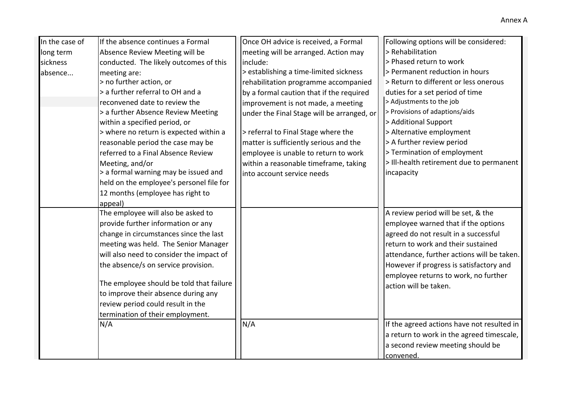| In the case of | If the absence continues a Formal        | Once OH advice is received, a Formal       | Following options will be considered:      |
|----------------|------------------------------------------|--------------------------------------------|--------------------------------------------|
| long term      | Absence Review Meeting will be           | meeting will be arranged. Action may       | > Rehabilitation                           |
| sickness       | conducted. The likely outcomes of this   | include:                                   | > Phased return to work                    |
| absence        | meeting are:                             | > establishing a time-limited sickness     | > Permanent reduction in hours             |
|                | > no further action, or                  | rehabilitation programme accompanied       | > Return to different or less onerous      |
|                | > a further referral to OH and a         | by a formal caution that if the required   | duties for a set period of time            |
|                | reconvened date to review the            | improvement is not made, a meeting         | > Adjustments to the job                   |
|                | > a further Absence Review Meeting       | under the Final Stage will be arranged, or | > Provisions of adaptions/aids             |
|                | within a specified period, or            |                                            | > Additional Support                       |
|                | > where no return is expected within a   | > referral to Final Stage where the        | > Alternative employment                   |
|                | reasonable period the case may be        | matter is sufficiently serious and the     | > A further review period                  |
|                | referred to a Final Absence Review       | employee is unable to return to work       | > Termination of employment                |
|                | Meeting, and/or                          | within a reasonable timeframe, taking      | > Ill-health retirement due to permanent   |
|                | > a formal warning may be issued and     | into account service needs                 | incapacity                                 |
|                | held on the employee's personel file for |                                            |                                            |
|                | 12 months (employee has right to         |                                            |                                            |
|                | appeal)                                  |                                            |                                            |
|                | The employee will also be asked to       |                                            | A review period will be set, & the         |
|                | provide further information or any       |                                            | employee warned that if the options        |
|                | change in circumstances since the last   |                                            | agreed do not result in a successful       |
|                | meeting was held. The Senior Manager     |                                            | return to work and their sustained         |
|                | will also need to consider the impact of |                                            | attendance, further actions will be taken. |
|                | the absence/s on service provision.      |                                            | However if progress is satisfactory and    |
|                |                                          |                                            | employee returns to work, no further       |
|                | The employee should be told that failure |                                            | action will be taken.                      |
|                | to improve their absence during any      |                                            |                                            |
|                | review period could result in the        |                                            |                                            |
|                | termination of their employment.         |                                            |                                            |
|                | N/A                                      | N/A                                        | If the agreed actions have not resulted in |
|                |                                          |                                            | a return to work in the agreed timescale,  |
|                |                                          |                                            | a second review meeting should be          |
|                |                                          |                                            | convened.                                  |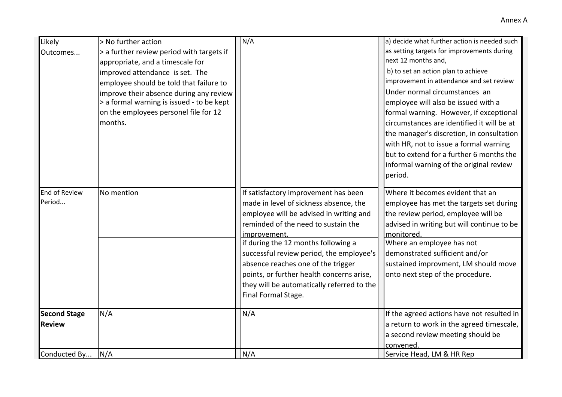| Likely               | > No further action                                                                  | N/A                                        | a) decide what further action is needed such                         |
|----------------------|--------------------------------------------------------------------------------------|--------------------------------------------|----------------------------------------------------------------------|
| Outcomes             | > a further review period with targets if                                            |                                            | as setting targets for improvements during                           |
|                      | appropriate, and a timescale for                                                     |                                            | next 12 months and,                                                  |
|                      | improved attendance is set. The                                                      |                                            | b) to set an action plan to achieve                                  |
|                      | employee should be told that failure to                                              |                                            | improvement in attendance and set review                             |
|                      | improve their absence during any review<br>> a formal warning is issued - to be kept |                                            | Under normal circumstances an<br>employee will also be issued with a |
|                      | on the employees personel file for 12                                                |                                            | formal warning. However, if exceptional                              |
|                      | months.                                                                              |                                            | circumstances are identified it will be at                           |
|                      |                                                                                      |                                            | the manager's discretion, in consultation                            |
|                      |                                                                                      |                                            | with HR, not to issue a formal warning                               |
|                      |                                                                                      |                                            | but to extend for a further 6 months the                             |
|                      |                                                                                      |                                            | informal warning of the original review                              |
|                      |                                                                                      |                                            | period.                                                              |
| <b>End of Review</b> | No mention                                                                           | If satisfactory improvement has been       | Where it becomes evident that an                                     |
| Period               |                                                                                      | made in level of sickness absence, the     | employee has met the targets set during                              |
|                      |                                                                                      | employee will be advised in writing and    | the review period, employee will be                                  |
|                      |                                                                                      | reminded of the need to sustain the        | advised in writing but will continue to be                           |
|                      |                                                                                      | improvement.                               | monitored.                                                           |
|                      |                                                                                      | if during the 12 months following a        | Where an employee has not                                            |
|                      |                                                                                      | successful review period, the employee's   | demonstrated sufficient and/or                                       |
|                      |                                                                                      | absence reaches one of the trigger         | sustained improvment, LM should move                                 |
|                      |                                                                                      | points, or further health concerns arise,  | onto next step of the procedure.                                     |
|                      |                                                                                      | they will be automatically referred to the |                                                                      |
|                      |                                                                                      | Final Formal Stage.                        |                                                                      |
| <b>Second Stage</b>  | N/A                                                                                  | N/A                                        | If the agreed actions have not resulted in                           |
| <b>Review</b>        |                                                                                      |                                            | a return to work in the agreed timescale,                            |
|                      |                                                                                      |                                            | a second review meeting should be                                    |
|                      |                                                                                      |                                            | convened.                                                            |
| Conducted By         | N/A                                                                                  | N/A                                        | Service Head, LM & HR Rep                                            |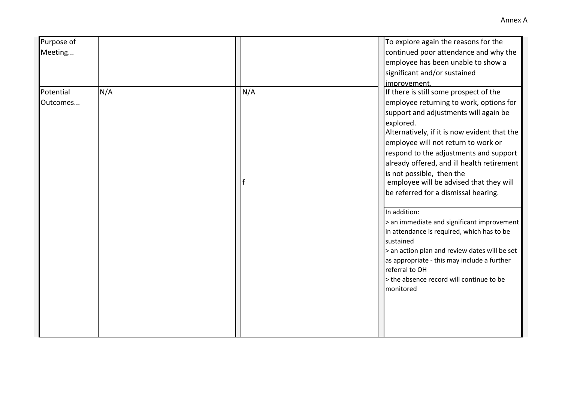| Purpose of |     |     | To explore again the reasons for the          |
|------------|-----|-----|-----------------------------------------------|
| Meeting    |     |     | continued poor attendance and why the         |
|            |     |     | employee has been unable to show a            |
|            |     |     | significant and/or sustained                  |
|            |     |     | improvement.                                  |
| Potential  | N/A | N/A | If there is still some prospect of the        |
| Outcomes   |     |     | employee returning to work, options for       |
|            |     |     | support and adjustments will again be         |
|            |     |     | explored.                                     |
|            |     |     | Alternatively, if it is now evident that the  |
|            |     |     | employee will not return to work or           |
|            |     |     | respond to the adjustments and support        |
|            |     |     | already offered, and ill health retirement    |
|            |     |     | is not possible. then the                     |
|            |     |     | employee will be advised that they will       |
|            |     |     | be referred for a dismissal hearing.          |
|            |     |     | In addition:                                  |
|            |     |     | > an immediate and significant improvement    |
|            |     |     | in attendance is required, which has to be    |
|            |     |     | sustained                                     |
|            |     |     | > an action plan and review dates will be set |
|            |     |     | as appropriate - this may include a further   |
|            |     |     | referral to OH                                |
|            |     |     | > the absence record will continue to be      |
|            |     |     | monitored                                     |
|            |     |     |                                               |
|            |     |     |                                               |
|            |     |     |                                               |
|            |     |     |                                               |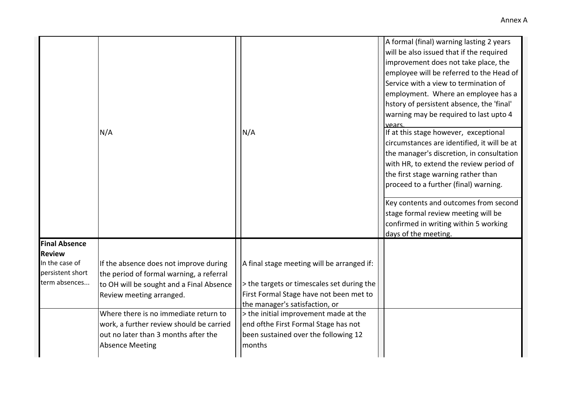|                                                     | N/A                                                                                                                            | N/A                                                                                      | A formal (final) warning lasting 2 years<br>will be also issued that if the required<br>improvement does not take place, the<br>employee will be referred to the Head of<br>Service with a view to termination of<br>employment. Where an employee has a<br>hstory of persistent absence, the 'final'<br>warning may be required to last upto 4<br>vears<br>If at this stage however, exceptional<br>circumstances are identified, it will be at<br>the manager's discretion, in consultation<br>with HR, to extend the review period of<br>the first stage warning rather than<br>proceed to a further (final) warning.<br>Key contents and outcomes from second<br>stage formal review meeting will be<br>confirmed in writing within 5 working<br>days of the meeting. |
|-----------------------------------------------------|--------------------------------------------------------------------------------------------------------------------------------|------------------------------------------------------------------------------------------|---------------------------------------------------------------------------------------------------------------------------------------------------------------------------------------------------------------------------------------------------------------------------------------------------------------------------------------------------------------------------------------------------------------------------------------------------------------------------------------------------------------------------------------------------------------------------------------------------------------------------------------------------------------------------------------------------------------------------------------------------------------------------|
| <b>Final Absence</b>                                |                                                                                                                                |                                                                                          |                                                                                                                                                                                                                                                                                                                                                                                                                                                                                                                                                                                                                                                                                                                                                                           |
| <b>Review</b>                                       |                                                                                                                                |                                                                                          |                                                                                                                                                                                                                                                                                                                                                                                                                                                                                                                                                                                                                                                                                                                                                                           |
| In the case of<br>persistent short<br>term absences | If the absence does not improve during<br>the period of formal warning, a referral<br>to OH will be sought and a Final Absence | A final stage meeting will be arranged if:<br>> the targets or timescales set during the |                                                                                                                                                                                                                                                                                                                                                                                                                                                                                                                                                                                                                                                                                                                                                                           |
|                                                     | Review meeting arranged.                                                                                                       | First Formal Stage have not been met to<br>the manager's satisfaction, or                |                                                                                                                                                                                                                                                                                                                                                                                                                                                                                                                                                                                                                                                                                                                                                                           |
|                                                     | Where there is no immediate return to                                                                                          | > the initial improvement made at the                                                    |                                                                                                                                                                                                                                                                                                                                                                                                                                                                                                                                                                                                                                                                                                                                                                           |
|                                                     | work, a further review should be carried                                                                                       | end ofthe First Formal Stage has not                                                     |                                                                                                                                                                                                                                                                                                                                                                                                                                                                                                                                                                                                                                                                                                                                                                           |
|                                                     | out no later than 3 months after the                                                                                           | been sustained over the following 12                                                     |                                                                                                                                                                                                                                                                                                                                                                                                                                                                                                                                                                                                                                                                                                                                                                           |
|                                                     | <b>Absence Meeting</b>                                                                                                         | months                                                                                   |                                                                                                                                                                                                                                                                                                                                                                                                                                                                                                                                                                                                                                                                                                                                                                           |
|                                                     |                                                                                                                                |                                                                                          |                                                                                                                                                                                                                                                                                                                                                                                                                                                                                                                                                                                                                                                                                                                                                                           |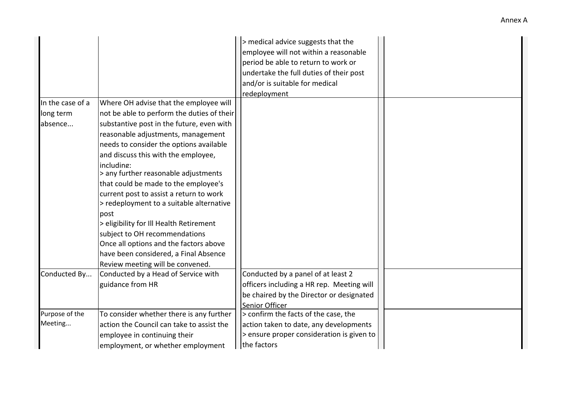|                  |                                            | > medical advice suggests that the        |  |
|------------------|--------------------------------------------|-------------------------------------------|--|
|                  |                                            | employee will not within a reasonable     |  |
|                  |                                            | period be able to return to work or       |  |
|                  |                                            | undertake the full duties of their post   |  |
|                  |                                            | and/or is suitable for medical            |  |
|                  |                                            | redeployment                              |  |
| In the case of a | Where OH advise that the employee will     |                                           |  |
| long term        | not be able to perform the duties of their |                                           |  |
| absence          | substantive post in the future, even with  |                                           |  |
|                  | reasonable adjustments, management         |                                           |  |
|                  | needs to consider the options available    |                                           |  |
|                  | and discuss this with the employee,        |                                           |  |
|                  | including:                                 |                                           |  |
|                  | > any further reasonable adjustments       |                                           |  |
|                  | that could be made to the employee's       |                                           |  |
|                  | current post to assist a return to work    |                                           |  |
|                  | > redeployment to a suitable alternative   |                                           |  |
|                  | post                                       |                                           |  |
|                  | > eligibility for Ill Health Retirement    |                                           |  |
|                  | subject to OH recommendations              |                                           |  |
|                  | Once all options and the factors above     |                                           |  |
|                  | have been considered, a Final Absence      |                                           |  |
|                  | Review meeting will be convened.           |                                           |  |
| Conducted By     | Conducted by a Head of Service with        | Conducted by a panel of at least 2        |  |
|                  | guidance from HR                           | officers including a HR rep. Meeting will |  |
|                  |                                            | be chaired by the Director or designated  |  |
|                  |                                            | Senior Officer                            |  |
| Purpose of the   | To consider whether there is any further   | > confirm the facts of the case, the      |  |
| Meeting          | action the Council can take to assist the  | action taken to date, any developments    |  |
|                  | employee in continuing their               | > ensure proper consideration is given to |  |
|                  | employment, or whether employment          | the factors                               |  |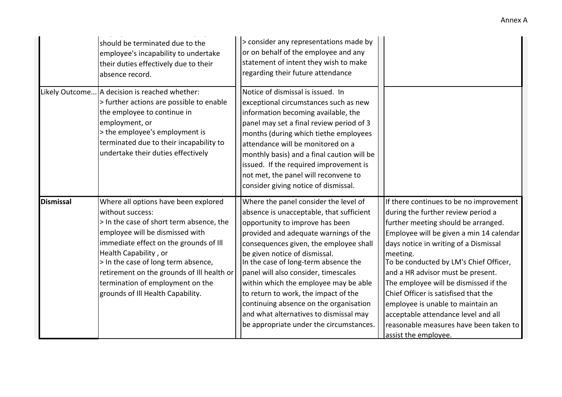|                  | should be terminated due to the<br>employee's incapability to undertake<br>their duties effectively due to their<br>absence record.<br>Likely Outcome   A decision is reached whether:<br>> further actions are possible to enable<br>the employee to continue in<br>employment, or<br>> the employee's employment is<br>terminated due to their incapability to<br>undertake their duties effectively | > consider any representations made by<br>or on behalf of the employee and any<br>statement of intent they wish to make<br>regarding their future attendance<br>Notice of dismissal is issued. In<br>exceptional circumstances such as new<br>information becoming available, the<br>panel may set a final review period of 3<br>months (during which tiethe employees<br>attendance will be monitored on a<br>monthly basis) and a final caution will be<br>issued. If the required improvement is<br>not met, the panel will reconvene to<br>consider giving notice of dismissal. |                                                                                                                                                                                                                                                                                                                                                                                                                                                                                                                                     |
|------------------|--------------------------------------------------------------------------------------------------------------------------------------------------------------------------------------------------------------------------------------------------------------------------------------------------------------------------------------------------------------------------------------------------------|-------------------------------------------------------------------------------------------------------------------------------------------------------------------------------------------------------------------------------------------------------------------------------------------------------------------------------------------------------------------------------------------------------------------------------------------------------------------------------------------------------------------------------------------------------------------------------------|-------------------------------------------------------------------------------------------------------------------------------------------------------------------------------------------------------------------------------------------------------------------------------------------------------------------------------------------------------------------------------------------------------------------------------------------------------------------------------------------------------------------------------------|
| <b>Dismissal</b> | Where all options have been explored<br>without success:<br>> In the case of short term absence, the<br>employee will be dismissed with<br>immediate effect on the grounds of Ill<br>Health Capability, or<br>> In the case of long term absence,<br>retirement on the grounds of III health or<br>termination of employment on the<br>grounds of Ill Health Capability.                               | Where the panel consider the level of<br>absence is unacceptable, that sufficient<br>opportunity to improve has been<br>provided and adequate warnings of the<br>consequences given, the employee shall<br>be given notice of dismissal.<br>In the case of long-term absence the<br>panel will also consider, timescales<br>within which the employee may be able<br>to return to work, the impact of the<br>continuing absence on the organisation<br>and what alternatives to dismissal may<br>be appropriate under the circumstances.                                            | If there continues to be no improvement<br>during the further review period a<br>further meeting should be arranged.<br>Employee will be given a min 14 calendar<br>days notice in writing of a Dismissal<br>meeting.<br>To be conducted by LM's Chief Officer,<br>and a HR advisor must be present.<br>The employee will be dismissed if the<br>Chief Officer is satisfised that the<br>employee is unable to maintain an<br>acceptable attendance level and all<br>reasonable measures have been taken to<br>assist the employee. |